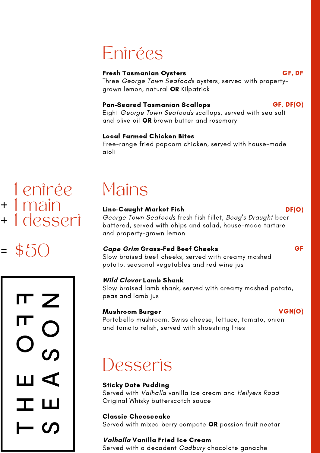

### Line-Caught Market Fish

George Town Seafoods fresh fish fillet, Boag ' s Draught beer battered, served with chips and salad, house-made tartare and property-grown lemon

### **Cape Grim** Grass-Fed Beef Cheeks

Slow braised beef cheeks, served with creamy mashed potato, seasonal vegetables and red wine jus

### **Wild Clover** Lamb Shank

Eight George Town Seafoods scallops, served with sea salt and olive oil OR brown butter and rosemary

Slow braised lamb shank, served with creamy mashed potato, peas and lamb jus

### Mushroom Burger

Portobello mushroom, Swiss cheese, lettuce, tomato, onion and tomato relish, served with shoestring fries

## Desseris

DF(O)

VGN(O)

1 entrée 1 main + + 1 desseri

### 704 =



### Pan-Seared Tasmanian Scallops

#### Fresh Tasmanian Oysters Three George Town Seafoods oysters, served with propertygrown lemon, natural OR Kilpatrick GF, DF

### Local Farmed Chicken Bites

Free-range fried popcorn chicken, served with house-made aioli

### Entrées

GF, DF(O)

### Sticky Date Pudding

Served with Valhalla vanilla ice cream and Hellyers Road Original Whisky butterscotch sauce

### Classic Cheesecake

Served with mixed berry compote OR passion fruit nectar

### **Valhalla** Vanilla Fried Ice Cream

Served with a decadent Cadbury chocolate ganache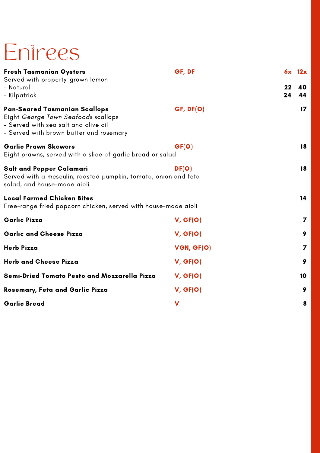| <b>Fresh Tasmanian Oysters</b><br>Served with property-grown lemon                                                                                             | GF, DF    | 6x 12x  |                 |
|----------------------------------------------------------------------------------------------------------------------------------------------------------------|-----------|---------|-----------------|
| - Natural                                                                                                                                                      |           | $22 \,$ | 40              |
| – Kilpatrick                                                                                                                                                   |           | 24      | 44              |
| <b>Pan-Seared Tasmanian Scallops</b><br>Eight George Town Seafoods scallops<br>- Served with sea salt and olive oil<br>- Served with brown butter and rosemary | GF, DF(O) |         | 17 <sup>2</sup> |
| <b>Garlic Prawn Skewers</b><br>Eight prawns, served with a slice of garlic bread or salad                                                                      |           | 18      |                 |
| <b>Salt and Pepper Calamari</b><br>Served with a mesculin, roasted pumpkin, tomato, onion and feta<br>salad, and house-made aioli                              | DF(O)     |         | 18              |
| <b>Local Farmed Chicken Bites</b><br>Free-range fried popcorn chicken, served with house-made aioli                                                            |           | 14      |                 |
| <b>Garlic Pizza</b>                                                                                                                                            | V, GF(O)  |         |                 |
| <b>Garlic and Cheese Pizza</b>                                                                                                                                 | V, GF(O)  |         | 9               |

| <b>Herb Pizza</b>                                   | VGN, GF(O) |    |
|-----------------------------------------------------|------------|----|
| <b>Herb and Cheese Pizza</b>                        | V, GF(O)   | 9  |
| <b>Semi-Dried Tomato Pesto and Mozzarella Pizza</b> | V, GF(O)   | 10 |
| <b>Rosemary, Feta and Garlic Pizza</b>              | V, GF(O)   | 9  |
| <b>Garlic Bread</b>                                 | V          | 8  |

# Entrees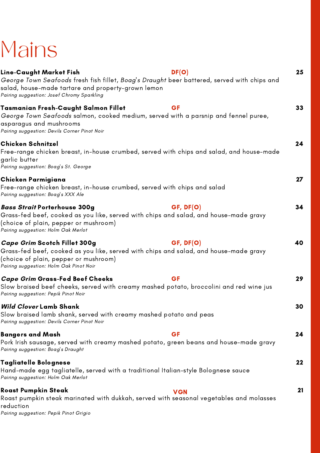#### **Cape Grim** Scotch Fillet 300g Grass-fed beef, cooked as you like, served with chips and salad, and house-made gravy (choice of plain, pepper or mushroom) Pairing suggestion: Holm Oak Pinot Noir **Cape Grim** Grass-Fed Beef Cheeks Slow braised beef cheeks, served with creamy mashed potato, broccolini and red wine jus Pairing suggestion: Pepik Pinot Noir **Wild Clover** Lamb Shank Slow braised lamb shank, served with creamy mashed potato and peas Pairing suggestion: Devils Corner Pinot Noir Bangers and Mash Pork Irish sausage, served with creamy mashed potato, green beans and house-made gravy Pairing suggestion: Boag ' s Draught Tagliatelle Bolognese Hand-made egg tagliatelle, served with a traditional Italian-style Bolognese sauce Pairing suggestion: Holm Oak Merlot Roast Pumpkin Steak Roast pumpkin steak marinated with dukkah, served with seasonal vegetables and molasses reduction Pairing suggestion: Pepik Pinot Grigio 40 29 30 24 22 21 GF, DF(O) **GF GF VGN**

| Line-Caught Market Fish<br>salad, house-made tartare and property-grown lemon<br>Pairing suggestion: Josef Chromy Sparkling                                                                                         | DF(O)<br>George Town Seafoods fresh fish fillet, Boag's Draught beer battered, served with chips and | 25 |
|---------------------------------------------------------------------------------------------------------------------------------------------------------------------------------------------------------------------|------------------------------------------------------------------------------------------------------|----|
| Tasmanian Fresh-Caught Salmon Fillet<br>George Town Seafoods salmon, cooked medium, served with a parsnip and fennel puree,<br>asparagus and mushrooms<br>Pairing suggestion: Devils Corner Pinot Noir              | GF                                                                                                   | 33 |
| <b>Chicken Schnitzel</b><br>garlic butter<br>Pairing suggestion: Boag's St. George                                                                                                                                  | Free-range chicken breast, in-house crumbed, served with chips and salad, and house-made             | 24 |
| Chicken Parmigiana<br> Free-range chicken breast, in-house crumbed, served with chips and salad<br>Pairing suggestion: Boag's XXX Ale                                                                               |                                                                                                      |    |
| <i><b>Bass Strait Porterhouse 300g</b></i><br>Grass-fed beef, cooked as you like, served with chips and salad, and house-made gravy<br>(choice of plain, pepper or mushroom)<br>Pairing suggestion: Holm Oak Merlot | GF, DF(O)                                                                                            | 34 |
|                                                                                                                                                                                                                     |                                                                                                      |    |

# Mains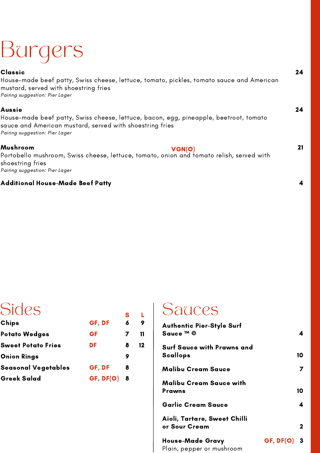### Classic

House-made beef patty, Swiss cheese, lettuce, tomato, pickles, tomato sauce and American mustard, served with shoestring fries Pairing suggestion: Pier Lager

### Aussie

House-made beef patty, Swiss cheese, lettuce, bacon, egg, pineapple, beetroot, tomato sauce and American mustard, served with shoestring fries Pairing suggestion: Pier Lager

#### Mushroom

Portobello mushroom, Swiss cheese, lettuce, tomato, onion and tomato relish, served with shoestring fries Pairing suggestion: Pier Lager VGN(O)

### Additional House-Made Beef Patty



21

4

### Sides

| <b>Authentic Pier-Style Surf</b><br>Sauce ™ ©        |                    |             |
|------------------------------------------------------|--------------------|-------------|
| <b>Surf Sauce with Prawns and</b><br><b>Scallops</b> |                    | 10          |
| <b>Malibu Cream Sauce</b>                            |                    |             |
| <b>Malibu Cream Sauce with</b><br><b>Prawns</b>      |                    | 10          |
| <b>Garlic Cream Sauce</b>                            |                    | 4           |
| Aioli, Tartare, Sweet Chilli<br>or Sour Cream        |                    | $\mathbf 2$ |
| <b>House-Made Gravy</b><br>Plain, pepper or mushroom | <b>GF, DF(O) 3</b> |             |

### Sauces

| UIUCJ                      |           |   |    |
|----------------------------|-----------|---|----|
| Chips                      | GF, DF    | 6 |    |
| <b>Potato Wedges</b>       | GF        | 7 | 11 |
| <b>Sweet Potato Fries</b>  | DF        | 8 | 12 |
| <b>Onion Rings</b>         |           | 9 |    |
| <b>Seasonal Vegetables</b> | GF, DF    | 8 |    |
| <b>Greek Salad</b>         | GF, DF(O) | 8 |    |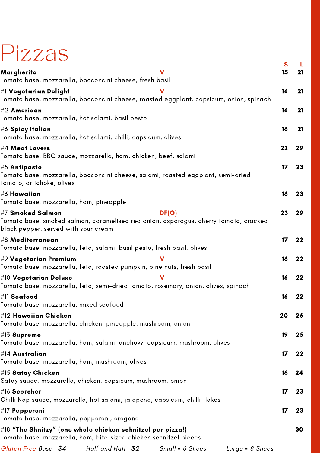| Pizzas                                                                                                                                                   |                    |                    |                  |              |           |
|----------------------------------------------------------------------------------------------------------------------------------------------------------|--------------------|--------------------|------------------|--------------|-----------|
| Margherita                                                                                                                                               |                    |                    |                  |              |           |
| Tomato base, mozzarella, bocconcini cheese, fresh basil                                                                                                  |                    |                    |                  |              |           |
| $\left  \# \right $ Vegetarian Delight<br> Tomato base, mozzarella, bocconcini cheese, roasted eggplant, capsicum, onion, spinach                        |                    |                    |                  | 16           | -21       |
| #2 American<br> Tomato base, mozzarella, hot salami, basil pesto                                                                                         |                    |                    |                  | 16           |           |
| $\parallel$ #3 Spicy Italian<br>Tomato base, mozzarella, hot salami, chilli, capsicum, olives                                                            |                    |                    |                  | 16           |           |
| $\sharp 4$ Meat Lovers<br> Tomato base, BBQ sauce, mozzarella, ham, chicken, beef, salami                                                                |                    |                    |                  | 22           |           |
| $\sharp 5$ Antipasto<br> Tomato base, mozzarella, bocconcini cheese, salami, roasted eggplant, semi-dried<br>tomato, artichoke, olives                   |                    |                    |                  | $\mathbf{L}$ | <b>ZJ</b> |
| #6 Hawaiian<br>Tomato base, mozzarella, ham, pineapple                                                                                                   |                    |                    |                  | 16           |           |
| <b>#7 Smoked Salmon</b><br> Tomato base, smoked salmon, caramelised red onion, asparagus, cherry tomato, cracked<br>black pepper, served with sour cream |                    | DF(O)              |                  | 23           | 29        |
| #8 Mediterranean<br> Tomato base, mozzarella, feta, salami, basil pesto, fresh basil, olives                                                             |                    |                    |                  | 17           |           |
| $\mid$ #9 Vegetarian Premium<br> Tomato base, mozzarella, feta, roasted pumpkin, pine nuts, fresh basil                                                  |                    |                    |                  | 16           |           |
| #10 Vegetarian Deluxe<br>Tomato base, mozzarella, feta, semi-dried tomato, rosemary, onion, olives, spinach                                              |                    |                    |                  | 16           |           |
| <b>#11 Seafood</b><br>Tomato base, mozzarella, mixed seafood                                                                                             |                    |                    |                  | 16           |           |
| #12 Hawaiian Chicken<br> Tomato base, mozzarella, chicken, pineapple, mushroom, onion                                                                    |                    |                    |                  | 20           |           |
| <b>#13 Supreme</b><br> Tomato base, mozzarella, ham, salami, anchovy, capsicum, mushroom, olives                                                         |                    |                    |                  | 19           | 25        |
| $\left  \# \right $ 4 Australian<br>Tomato base, mozzarella, ham, mushroom, olives                                                                       |                    |                    |                  | 17           | 22        |
| #15 Satay Chicken<br>Satay sauce, mozzarella, chicken, capsicum, mushroom, onion                                                                         |                    |                    |                  | 16           |           |
| <b>#16 Scorcher</b><br> Chilli Nap sauce, mozzarella, hot salami, jalapeno, capsicum, chilli flakes                                                      |                    |                    |                  | 17           | 23        |
| <b>#17 Pepperoni</b><br> Tomato base, mozzarella, pepperoni, oregano                                                                                     |                    |                    |                  |              | 23        |
| $\left  \# 18 \right\rangle$ "The Shnitzy" (one whole chicken schnitzel per pizza!)<br>Tomato base, mozzarella, ham, bite-sized chicken schnitzel pieces |                    |                    |                  |              | 30        |
| Gluten Free Base +\$4                                                                                                                                    | Half and Half +\$2 | $Small = 6$ Slices | Large = 8 Slices |              |           |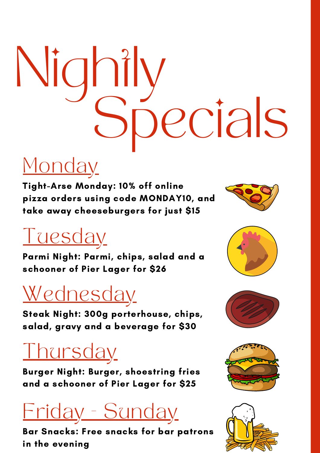

Parmi Night: Parmi, chips, salad and a schooner of Pier Lager for \$26



Bar Snacks: Free snacks for bar patrons in the evening







Monday Tight-Arse Monday: 10% off online

Burger Night: Burger, shoestring fries and a schooner of Pier Lager for \$25





Steak Night: 300g porterhouse, chips, salad, gravy and a beverage for \$30

pizza orders using code MONDAY10, and take away cheeseburgers for just \$15





# Nightly Specials